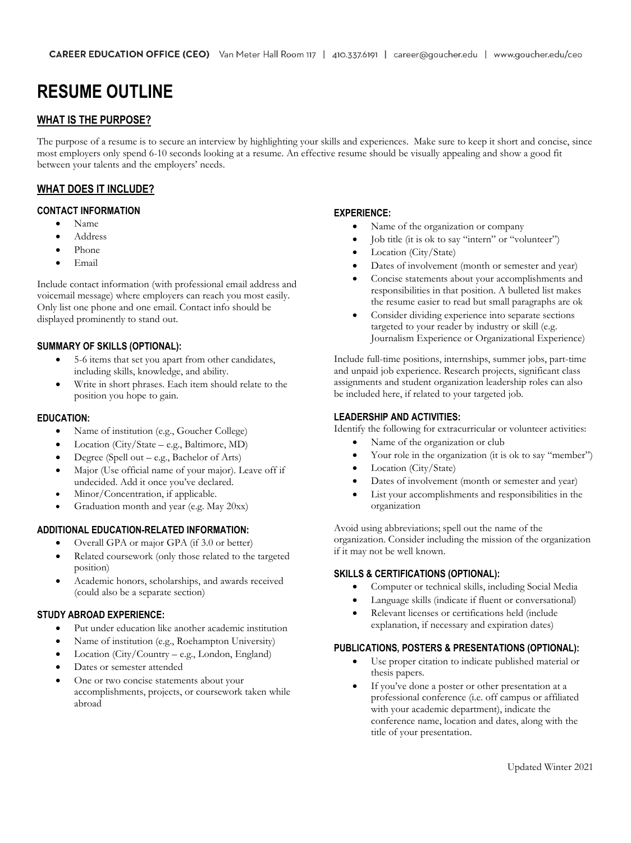# **RESUME OUTLINE**

### **WHAT IS THE PURPOSE?**

The purpose of a resume is to secure an interview by highlighting your skills and experiences. Make sure to keep it short and concise, since most employers only spend 6-10 seconds looking at a resume. An effective resume should be visually appealing and show a good fit between your talents and the employers' needs.

### **WHAT DOES IT INCLUDE?**

#### **CONTACT INFORMATION**

- Name
- Address
- Phone
- Email

Include contact information (with professional email address and voicemail message) where employers can reach you most easily. Only list one phone and one email. Contact info should be displayed prominently to stand out.

### **SUMMARY OF SKILLS (OPTIONAL):**

- 5-6 items that set you apart from other candidates, including skills, knowledge, and ability.
- Write in short phrases. Each item should relate to the position you hope to gain.

#### **EDUCATION:**

- Name of institution (e.g., Goucher College)
- Location (City/State e.g., Baltimore, MD)
- Degree (Spell out e.g., Bachelor of Arts)
- Major (Use official name of your major). Leave off if undecided. Add it once you've declared.
- Minor/Concentration, if applicable.
- Graduation month and year (e.g. May 20xx)

#### **ADDITIONAL EDUCATION-RELATED INFORMATION:**

- Overall GPA or major GPA (if 3.0 or better)
- Related coursework (only those related to the targeted position)
- Academic honors, scholarships, and awards received (could also be a separate section)

### **STUDY ABROAD EXPERIENCE:**

- Put under education like another academic institution
- Name of institution (e.g., Roehampton University)
- Location (City/Country e.g., London, England)
- Dates or semester attended
- One or two concise statements about your accomplishments, projects, or coursework taken while abroad

#### **EXPERIENCE:**

- Name of the organization or company
- Job title (it is ok to say "intern" or "volunteer")
- Location (City/State)
- Dates of involvement (month or semester and year)
- Concise statements about your accomplishments and responsibilities in that position. A bulleted list makes the resume easier to read but small paragraphs are ok
- Consider dividing experience into separate sections targeted to your reader by industry or skill (e.g. Journalism Experience or Organizational Experience)

Include full-time positions, internships, summer jobs, part-time and unpaid job experience. Research projects, significant class assignments and student organization leadership roles can also be included here, if related to your targeted job.

#### **LEADERSHIP AND ACTIVITIES:**

Identify the following for extracurricular or volunteer activities:

- Name of the organization or club
- Your role in the organization (it is ok to say "member")
- Location (City/State)
- Dates of involvement (month or semester and year)
- List your accomplishments and responsibilities in the organization

Avoid using abbreviations; spell out the name of the organization. Consider including the mission of the organization if it may not be well known.

### **SKILLS & CERTIFICATIONS (OPTIONAL):**

- Computer or technical skills, including Social Media
- Language skills (indicate if fluent or conversational)
- Relevant licenses or certifications held (include explanation, if necessary and expiration dates)

### **PUBLICATIONS, POSTERS & PRESENTATIONS (OPTIONAL):**

- Use proper citation to indicate published material or thesis papers.
- If you've done a poster or other presentation at a professional conference (i.e. off campus or affiliated with your academic department), indicate the conference name, location and dates, along with the title of your presentation.